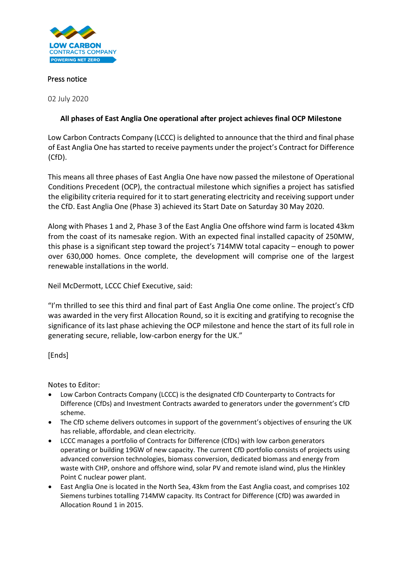

## Press notice

02 July 2020

## **All phases of East Anglia One operational after project achieves final OCP Milestone**

Low Carbon Contracts Company (LCCC) is delighted to announce that the third and final phase of East Anglia One has started to receive payments under the project's Contract for Difference (CfD).

This means all three phases of East Anglia One have now passed the milestone of Operational Conditions Precedent (OCP), the contractual milestone which signifies a project has satisfied the eligibility criteria required for it to start generating electricity and receiving support under the CfD. East Anglia One (Phase 3) achieved its Start Date on Saturday 30 May 2020.

Along with Phases 1 and 2, Phase 3 of the East Anglia One offshore wind farm is located 43km from the coast of its namesake region. With an expected final installed capacity of 250MW, this phase is a significant step toward the project's 714MW total capacity – enough to power over 630,000 homes. Once complete, the development will comprise one of the largest renewable installations in the world.

Neil McDermott, LCCC Chief Executive, said:

"I'm thrilled to see this third and final part of East Anglia One come online. The project's CfD was awarded in the very first Allocation Round, so it is exciting and gratifying to recognise the significance of its last phase achieving the OCP milestone and hence the start of its full role in generating secure, reliable, low-carbon energy for the UK."

[Ends]

Notes to Editor:

- Low Carbon Contracts Company (LCCC) is the designated CfD Counterparty to Contracts for Difference (CfDs) and Investment Contracts awarded to generators under the government's CfD scheme.
- The CfD scheme delivers outcomes in support of the government's objectives of ensuring the UK has reliable, affordable, and clean electricity.
- LCCC manages a portfolio of Contracts for Difference (CfDs) with low carbon generators operating or building 19GW of new capacity. The current CfD portfolio consists of projects using advanced conversion technologies, biomass conversion, dedicated biomass and energy from waste with CHP, onshore and offshore wind, solar PV and remote island wind, plus the Hinkley Point C nuclear power plant.
- East Anglia One is located in the North Sea, 43km from the East Anglia coast, and comprises 102 Siemens turbines totalling 714MW capacity. Its Contract for Difference (CfD) was awarded in Allocation Round 1 in 2015.